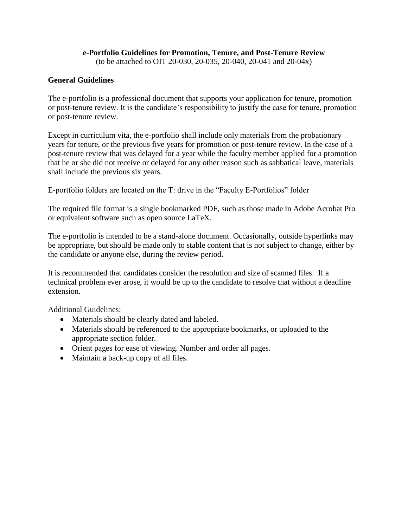## **e-Portfolio Guidelines for Promotion, Tenure, and Post-Tenure Review**

(to be attached to OIT 20-030, 20-035, 20-040, 20-041 and 20-04x)

# **General Guidelines**

The e-portfolio is a professional document that supports your application for tenure, promotion or post-tenure review. It is the candidate's responsibility to justify the case for tenure, promotion or post-tenure review.

Except in curriculum vita, the e-portfolio shall include only materials from the probationary years for tenure, or the previous five years for promotion or post-tenure review. In the case of a post-tenure review that was delayed for a year while the faculty member applied for a promotion that he or she did not receive or delayed for any other reason such as sabbatical leave, materials shall include the previous six years.

E-portfolio folders are located on the T: drive in the "Faculty E-Portfolios" folder

The required file format is a single bookmarked PDF, such as those made in Adobe Acrobat Pro or equivalent software such as open source LaTeX.

The e-portfolio is intended to be a stand-alone document. Occasionally, outside hyperlinks may be appropriate, but should be made only to stable content that is not subject to change, either by the candidate or anyone else, during the review period.

It is recommended that candidates consider the resolution and size of scanned files. If a technical problem ever arose, it would be up to the candidate to resolve that without a deadline extension.

Additional Guidelines:

- Materials should be clearly dated and labeled.
- Materials should be referenced to the appropriate bookmarks, or uploaded to the appropriate section folder.
- Orient pages for ease of viewing. Number and order all pages.
- Maintain a back-up copy of all files.